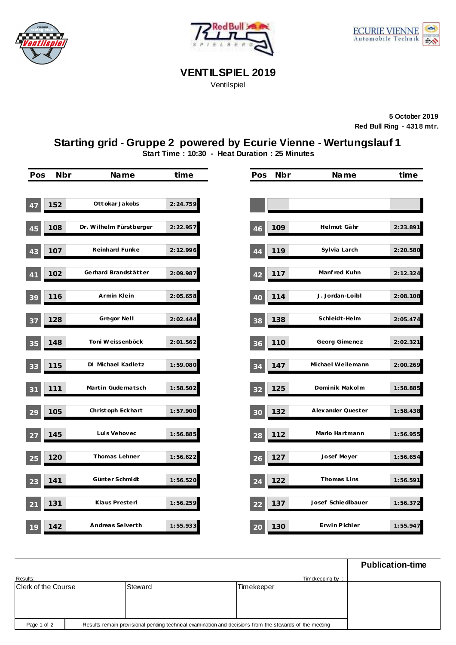





**VENTILSPIEL 2019**

Ventilspiel

**5 October 2019 Red Bull Ring - 4318 mtr.**

## **Starting grid - Gruppe 2 powered by Ecurie Vienne - Wertungslauf 1**

**Start Time : 10:30 - Heat Duration : 25 Minutes**

| Pos             | Nbr | Name                    | time      | Pos | Nbr | Name               | time      |
|-----------------|-----|-------------------------|-----------|-----|-----|--------------------|-----------|
| 47              | 152 | Ott okar Jakobs         | 2:24.759  |     |     |                    |           |
| 45              | 108 | Dr. Wilhelm Fürstberger | 2: 22.957 | 46  | 109 | Helmut Gähr        | 2:23.891  |
| 43              | 107 | Reinhard Funke          | 2:12.996  | 44  | 119 | Sylvia Larch       | 2:20.580  |
| 41              | 102 | Gerhard Brandstätter    | 2:09.987  | 42  | 117 | Manf red Kuhn      | 2: 12.324 |
| 39              | 116 | Armin Klein             | 2:05.658  | 40  | 114 | J. Jordan-Loibl    | 2:08.108  |
| 37              | 128 | Gregor Nell             | 2:02.444  | 38  | 138 | Schleidt-Helm      | 2:05.474  |
| 35              | 148 | Toni Weissenböck        | 2:01.562  | 36  | 110 | Georg Gimenez      | 2:02.321  |
| 33              | 115 | DI Michael Kadletz      | 1:59.080  | 34  | 147 | Michael Weilemann  | 2:00.269  |
| 31              | 111 | Martin Gudernatsch      | 1:58.502  | 32  | 125 | Dominik Makolm     | 1:58.885  |
| 29              | 105 | Christ oph Eckhart      | 1:57.900  | 30  | 132 | Alexander Quester  | 1:58.438  |
| 27              | 145 | Luis Vehovec            | 1:56.885  | 28  | 112 | Mario Hartmann     | 1:56.955  |
| 25              | 120 | Thomas Lehner           | 1:56.622  | 26  | 127 | Josef Meyer        | 1:56.654  |
| 23              | 141 | Günter Schmidt          | 1:56.520  | 24  | 122 | Thomas Lins        | 1:56.591  |
| $\overline{21}$ | 131 | Klaus Presterl          | 1:56.259  | 22  | 137 | Josef Schiedlbauer | 1:56.372  |
| 19              | 142 | Andreas Seiverth        | 1:55.933  | 20  | 130 | Erwin Pichler      | 1:55.947  |

|                     |                                                                                                         |            | <b>Publication-time</b> |  |  |
|---------------------|---------------------------------------------------------------------------------------------------------|------------|-------------------------|--|--|
| Results:            |                                                                                                         |            |                         |  |  |
| Clerk of the Course | Steward                                                                                                 | Timekeeper |                         |  |  |
|                     |                                                                                                         |            |                         |  |  |
|                     |                                                                                                         |            |                         |  |  |
|                     |                                                                                                         |            |                         |  |  |
| Page 1 of 2         | Results remain provisional pending technical examination and decisions from the stewards of the meeting |            |                         |  |  |